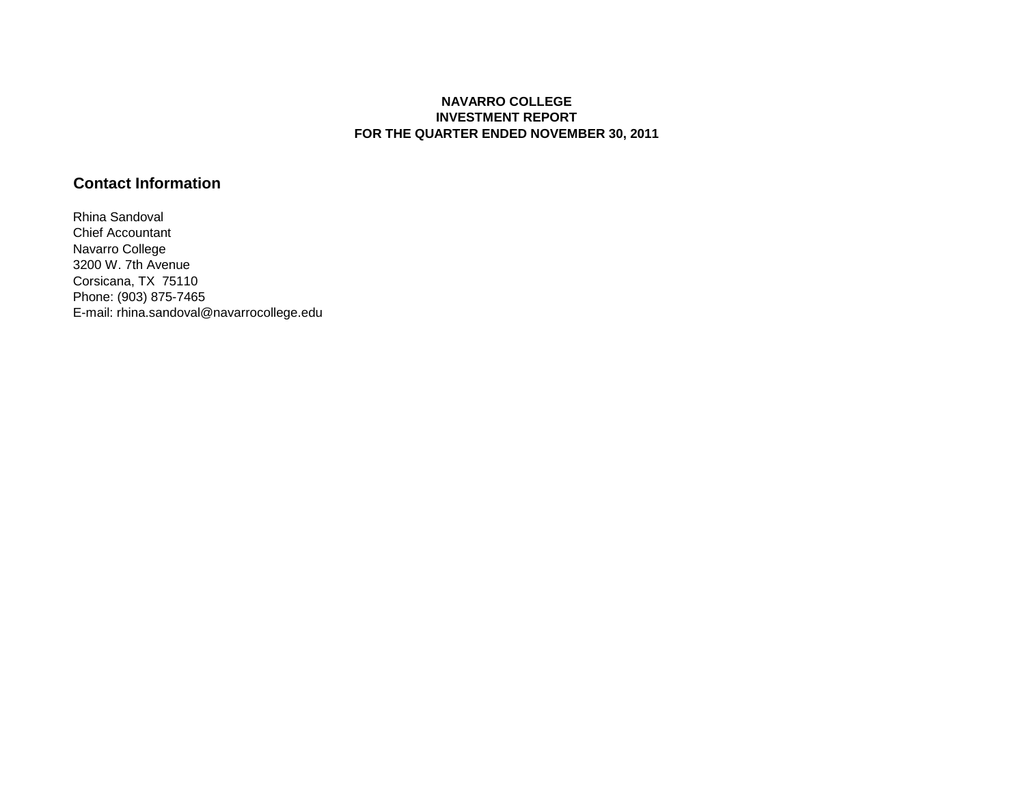#### **NAVARRO COLLEGE INVESTMENT REPORT FOR THE QUARTER ENDED NOVEMBER 30, 2011**

## **Contact Information**

Rhina Sandoval Chief Accountant Navarro College 3200 W. 7th Avenue Corsicana, TX 75110 Phone: (903) 875-7465 E-mail: rhina.sandoval@navarrocollege.edu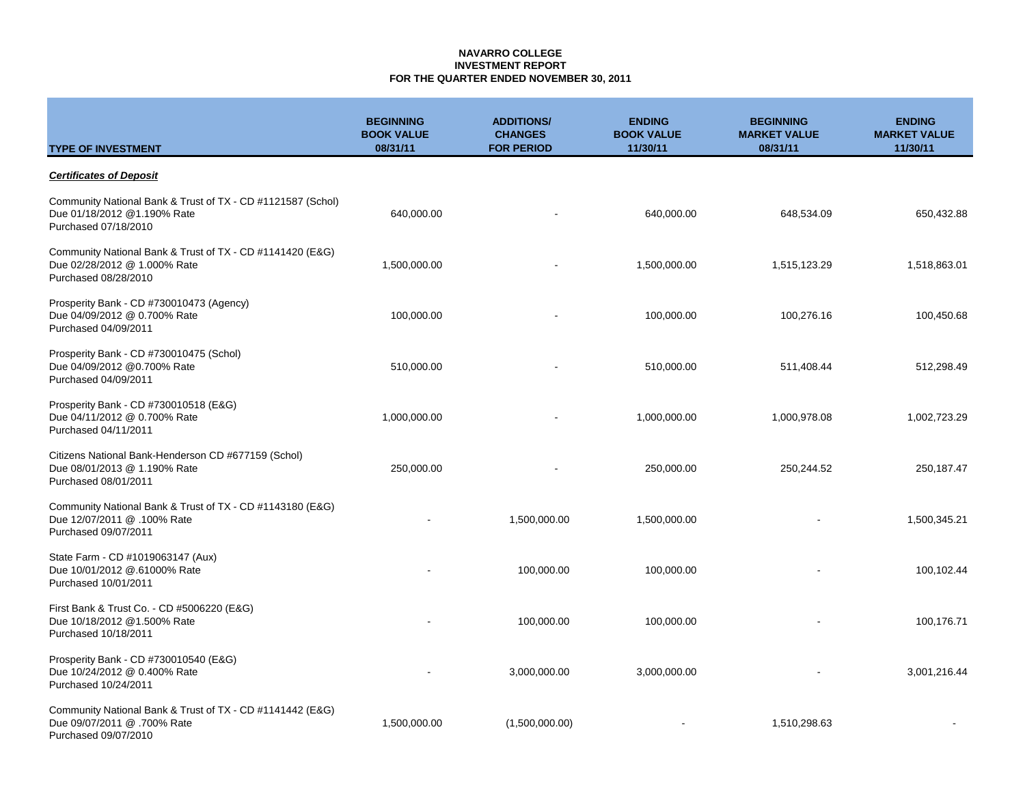### **NAVARRO COLLEGE INVESTMENT REPORT FOR THE QUARTER ENDED NOVEMBER 30, 2011**

| <b>TYPE OF INVESTMENT</b>                                                                                          | <b>BEGINNING</b><br><b>BOOK VALUE</b><br>08/31/11 | <b>ADDITIONS/</b><br><b>CHANGES</b><br><b>FOR PERIOD</b> | <b>ENDING</b><br><b>BOOK VALUE</b><br>11/30/11 | <b>BEGINNING</b><br><b>MARKET VALUE</b><br>08/31/11 | <b>ENDING</b><br><b>MARKET VALUE</b><br>11/30/11 |
|--------------------------------------------------------------------------------------------------------------------|---------------------------------------------------|----------------------------------------------------------|------------------------------------------------|-----------------------------------------------------|--------------------------------------------------|
| <b>Certificates of Deposit</b>                                                                                     |                                                   |                                                          |                                                |                                                     |                                                  |
| Community National Bank & Trust of TX - CD #1121587 (Schol)<br>Due 01/18/2012 @1.190% Rate<br>Purchased 07/18/2010 | 640,000.00                                        |                                                          | 640,000.00                                     | 648,534.09                                          | 650,432.88                                       |
| Community National Bank & Trust of TX - CD #1141420 (E&G)<br>Due 02/28/2012 @ 1.000% Rate<br>Purchased 08/28/2010  | 1,500,000.00                                      |                                                          | 1,500,000.00                                   | 1,515,123.29                                        | 1,518,863.01                                     |
| Prosperity Bank - CD #730010473 (Agency)<br>Due 04/09/2012 @ 0.700% Rate<br>Purchased 04/09/2011                   | 100,000.00                                        |                                                          | 100,000.00                                     | 100,276.16                                          | 100,450.68                                       |
| Prosperity Bank - CD #730010475 (Schol)<br>Due 04/09/2012 @0.700% Rate<br>Purchased 04/09/2011                     | 510,000.00                                        |                                                          | 510,000.00                                     | 511,408.44                                          | 512,298.49                                       |
| Prosperity Bank - CD #730010518 (E&G)<br>Due 04/11/2012 @ 0.700% Rate<br>Purchased 04/11/2011                      | 1,000,000.00                                      |                                                          | 1,000,000.00                                   | 1,000,978.08                                        | 1,002,723.29                                     |
| Citizens National Bank-Henderson CD #677159 (Schol)<br>Due 08/01/2013 @ 1.190% Rate<br>Purchased 08/01/2011        | 250,000.00                                        |                                                          | 250,000.00                                     | 250,244.52                                          | 250,187.47                                       |
| Community National Bank & Trust of TX - CD #1143180 (E&G)<br>Due 12/07/2011 @ .100% Rate<br>Purchased 09/07/2011   |                                                   | 1,500,000.00                                             | 1,500,000.00                                   |                                                     | 1,500,345.21                                     |
| State Farm - CD #1019063147 (Aux)<br>Due 10/01/2012 @.61000% Rate<br>Purchased 10/01/2011                          |                                                   | 100,000.00                                               | 100,000.00                                     |                                                     | 100,102.44                                       |
| First Bank & Trust Co. - CD #5006220 (E&G)<br>Due 10/18/2012 @1.500% Rate<br>Purchased 10/18/2011                  |                                                   | 100,000.00                                               | 100,000.00                                     |                                                     | 100,176.71                                       |
| Prosperity Bank - CD #730010540 (E&G)<br>Due 10/24/2012 @ 0.400% Rate<br>Purchased 10/24/2011                      |                                                   | 3,000,000.00                                             | 3,000,000.00                                   |                                                     | 3,001,216.44                                     |
| Community National Bank & Trust of TX - CD #1141442 (E&G)<br>Due 09/07/2011 @ .700% Rate<br>Purchased 09/07/2010   | 1,500,000.00                                      | (1,500,000.00)                                           |                                                | 1,510,298.63                                        |                                                  |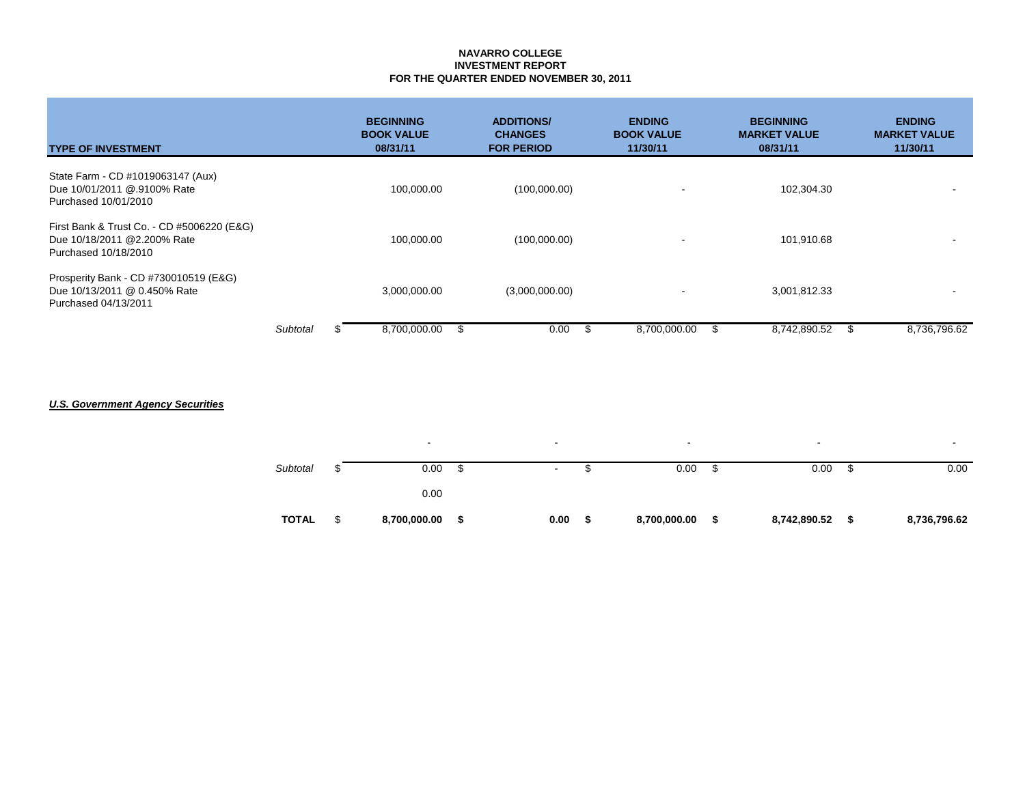### **NAVARRO COLLEGE INVESTMENT REPORT FOR THE QUARTER ENDED NOVEMBER 30, 2011**

| <b>TYPE OF INVESTMENT</b>                                                                         |          | <b>BEGINNING</b><br><b>BOOK VALUE</b><br>08/31/11 | <b>ADDITIONS/</b><br><b>CHANGES</b><br><b>FOR PERIOD</b> | <b>ENDING</b><br><b>BOOK VALUE</b><br>11/30/11 | <b>BEGINNING</b><br><b>MARKET VALUE</b><br>08/31/11 | <b>ENDING</b><br><b>MARKET VALUE</b><br>11/30/11 |
|---------------------------------------------------------------------------------------------------|----------|---------------------------------------------------|----------------------------------------------------------|------------------------------------------------|-----------------------------------------------------|--------------------------------------------------|
| State Farm - CD #1019063147 (Aux)<br>Due 10/01/2011 @.9100% Rate<br>Purchased 10/01/2010          |          | 100,000.00                                        | (100,000.00)                                             |                                                | 102,304.30                                          |                                                  |
| First Bank & Trust Co. - CD #5006220 (E&G)<br>Due 10/18/2011 @2.200% Rate<br>Purchased 10/18/2010 |          | 100,000.00                                        | (100,000.00)                                             | $\overline{\phantom{a}}$                       | 101,910.68                                          |                                                  |
| Prosperity Bank - CD #730010519 (E&G)<br>Due 10/13/2011 @ 0.450% Rate<br>Purchased 04/13/2011     |          | 3,000,000.00                                      | (3,000,000.00)                                           | $\tilde{\phantom{a}}$                          | 3,001,812.33                                        |                                                  |
|                                                                                                   | Subtotal | 8,700,000.00                                      | \$<br>0.00                                               | - \$<br>8,700,000.00                           | 8,742,890.52                                        | 8,736,796.62                                     |

# *U.S. Government Agency Securities*

| <b>TOTAL</b> | \$<br>8,700,000.00       | S  | 0.00                     | S | 8,700,000.00 |   | 8,742,890.52             | - \$ | 8,736,796.62 |
|--------------|--------------------------|----|--------------------------|---|--------------|---|--------------------------|------|--------------|
|              | 0.00                     |    |                          |   |              |   |                          |      |              |
| Subtotal     | 0.00                     | \$ | $\sim$                   |   | 0.00         | D | 0.00                     | D    | 0.00         |
|              | $\overline{\phantom{0}}$ |    | $\overline{\phantom{a}}$ |   | ۰            |   | $\overline{\phantom{a}}$ |      |              |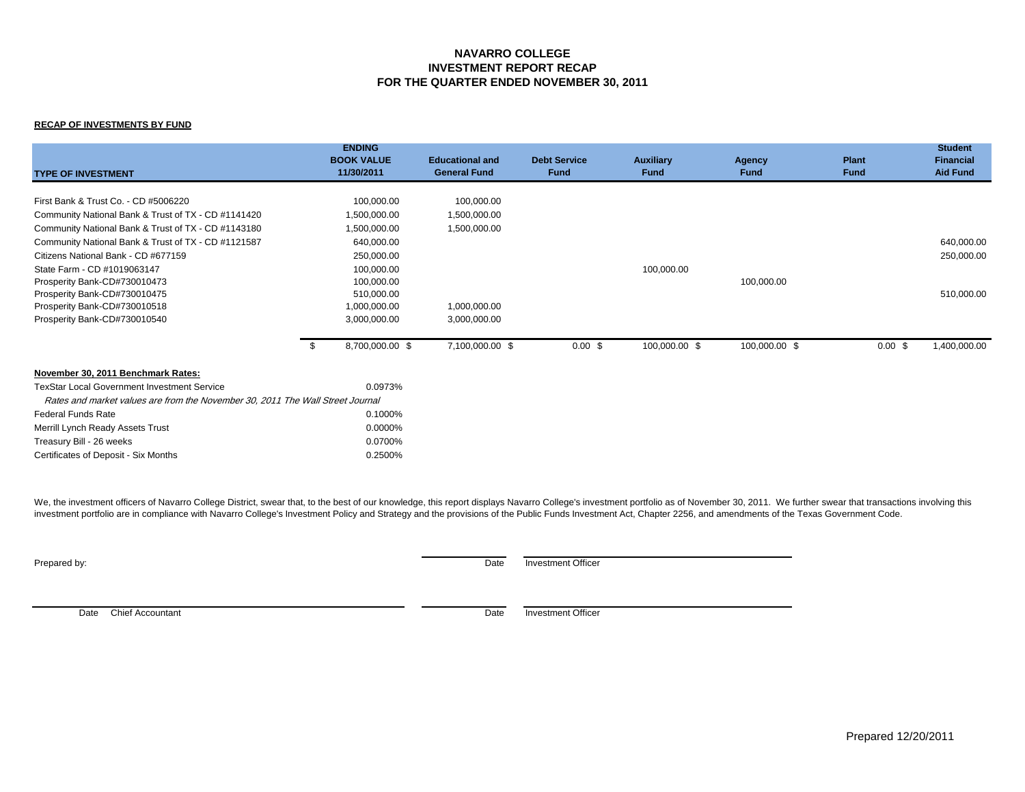#### **NAVARRO COLLEGE INVESTMENT REPORT RECAP FOR THE QUARTER ENDED NOVEMBER 30, 2011**

#### **RECAP OF INVESTMENTS BY FUND**

| <b>TYPE OF INVESTMENT</b>                                                      | <b>ENDING</b><br><b>BOOK VALUE</b><br>11/30/2011 | <b>Educational and</b><br><b>General Fund</b> | <b>Debt Service</b><br>Fund | <b>Auxiliary</b><br><b>Fund</b> | <b>Agency</b><br><b>Fund</b> | <b>Plant</b><br><b>Fund</b> | <b>Student</b><br><b>Financial</b><br><b>Aid Fund</b> |
|--------------------------------------------------------------------------------|--------------------------------------------------|-----------------------------------------------|-----------------------------|---------------------------------|------------------------------|-----------------------------|-------------------------------------------------------|
| First Bank & Trust Co. - CD #5006220                                           | 100,000.00                                       | 100,000.00                                    |                             |                                 |                              |                             |                                                       |
| Community National Bank & Trust of TX - CD #1141420                            | 1,500,000.00                                     | 1,500,000.00                                  |                             |                                 |                              |                             |                                                       |
| Community National Bank & Trust of TX - CD #1143180                            | 1,500,000.00                                     | 1,500,000.00                                  |                             |                                 |                              |                             |                                                       |
|                                                                                |                                                  |                                               |                             |                                 |                              |                             |                                                       |
| Community National Bank & Trust of TX - CD #1121587                            | 640,000.00                                       |                                               |                             |                                 |                              |                             | 640,000.00                                            |
| Citizens National Bank - CD #677159                                            | 250,000.00                                       |                                               |                             |                                 |                              |                             | 250,000.00                                            |
| State Farm - CD #1019063147                                                    | 100,000.00                                       |                                               |                             | 100,000.00                      |                              |                             |                                                       |
| Prosperity Bank-CD#730010473                                                   | 100,000.00                                       |                                               |                             |                                 | 100,000.00                   |                             |                                                       |
| Prosperity Bank-CD#730010475                                                   | 510,000.00<br>1,000,000.00                       | 1,000,000.00                                  |                             |                                 |                              |                             | 510,000.00                                            |
| Prosperity Bank-CD#730010518                                                   | 3,000,000.00                                     |                                               |                             |                                 |                              |                             |                                                       |
| Prosperity Bank-CD#730010540                                                   |                                                  | 3,000,000.00                                  |                             |                                 |                              |                             |                                                       |
|                                                                                | 8,700,000.00 \$<br>- \$                          | 7,100,000.00 \$                               | $0.00$ \$                   | 100,000.00 \$                   | 100,000.00 \$                | 0.00~\$                     | 1,400,000.00                                          |
| November 30, 2011 Benchmark Rates:                                             |                                                  |                                               |                             |                                 |                              |                             |                                                       |
| <b>TexStar Local Government Investment Service</b>                             | 0.0973%                                          |                                               |                             |                                 |                              |                             |                                                       |
| Rates and market values are from the November 30, 2011 The Wall Street Journal |                                                  |                                               |                             |                                 |                              |                             |                                                       |
| <b>Federal Funds Rate</b>                                                      | 0.1000%                                          |                                               |                             |                                 |                              |                             |                                                       |
| Merrill Lynch Ready Assets Trust                                               | 0.0000%                                          |                                               |                             |                                 |                              |                             |                                                       |
| Treasury Bill - 26 weeks                                                       | 0.0700%                                          |                                               |                             |                                 |                              |                             |                                                       |
| Certificates of Deposit - Six Months                                           | 0.2500%                                          |                                               |                             |                                 |                              |                             |                                                       |

We, the investment officers of Navarro College District, swear that, to the best of our knowledge, this report displays Navarro College's investment portfolio as of November 30, 2011. We further swear that transactions inv investment portfolio are in compliance with Navarro College's Investment Policy and Strategy and the provisions of the Public Funds Investment Act, Chapter 2256, and amendments of the Texas Government Code.

**Prepared by:** Date Investment Officer

Date Chief Accountant Date Investment Officer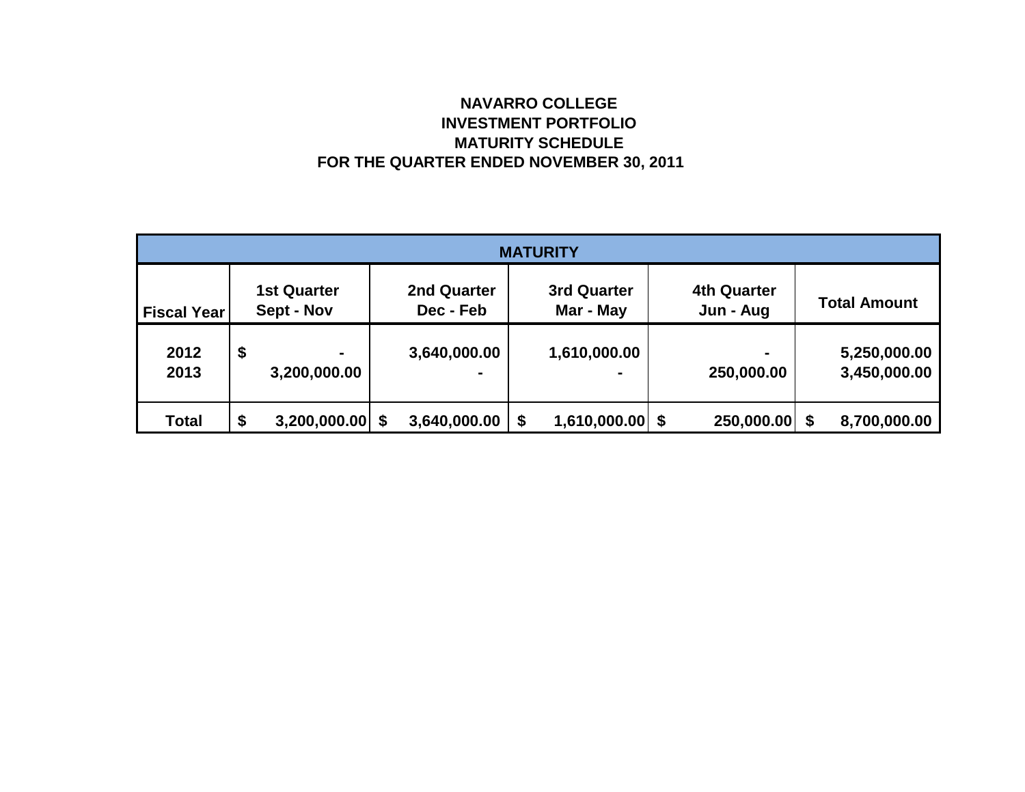# **NAVARRO COLLEGE INVESTMENT PORTFOLIO MATURITY SCHEDULE FOR THE QUARTER ENDED NOVEMBER 30, 2011**

| <b>MATURITY</b>    |    |                                  |   |                                 |    |                                 |  |                                 |  |                              |  |
|--------------------|----|----------------------------------|---|---------------------------------|----|---------------------------------|--|---------------------------------|--|------------------------------|--|
| <b>Fiscal Year</b> |    | <b>1st Quarter</b><br>Sept - Nov |   | <b>2nd Quarter</b><br>Dec - Feb |    | <b>3rd Quarter</b><br>Mar - May |  | <b>4th Quarter</b><br>Jun - Aug |  | <b>Total Amount</b>          |  |
| 2012<br>2013       | \$ | $\blacksquare$<br>3,200,000.00   |   | 3,640,000.00                    |    | 1,610,000.00                    |  | $\blacksquare$<br>250,000.00    |  | 5,250,000.00<br>3,450,000.00 |  |
| <b>Total</b>       | \$ | 3,200,000.00                     | S | 3,640,000.00                    | \$ | $1,610,000.00$ \$               |  | 250,000.00                      |  | 8,700,000.00                 |  |